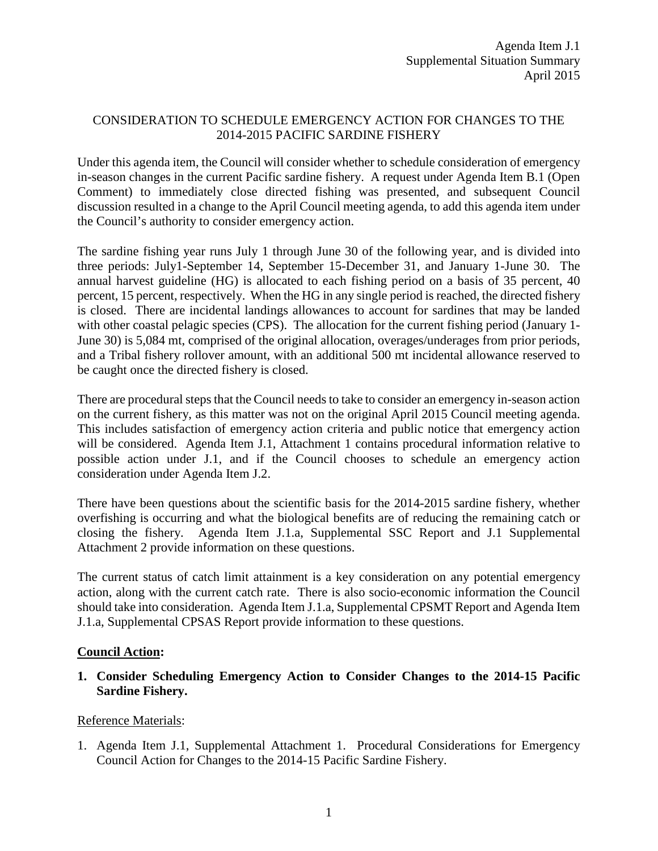## CONSIDERATION TO SCHEDULE EMERGENCY ACTION FOR CHANGES TO THE 2014-2015 PACIFIC SARDINE FISHERY

Under this agenda item, the Council will consider whether to schedule consideration of emergency in-season changes in the current Pacific sardine fishery. A request under Agenda Item B.1 (Open Comment) to immediately close directed fishing was presented, and subsequent Council discussion resulted in a change to the April Council meeting agenda, to add this agenda item under the Council's authority to consider emergency action.

The sardine fishing year runs July 1 through June 30 of the following year, and is divided into three periods: July1-September 14, September 15-December 31, and January 1-June 30. The annual harvest guideline (HG) is allocated to each fishing period on a basis of 35 percent, 40 percent, 15 percent, respectively. When the HG in any single period is reached, the directed fishery is closed. There are incidental landings allowances to account for sardines that may be landed with other coastal pelagic species (CPS). The allocation for the current fishing period (January 1-June 30) is 5,084 mt, comprised of the original allocation, overages/underages from prior periods, and a Tribal fishery rollover amount, with an additional 500 mt incidental allowance reserved to be caught once the directed fishery is closed.

There are procedural steps that the Council needs to take to consider an emergency in-season action on the current fishery, as this matter was not on the original April 2015 Council meeting agenda. This includes satisfaction of emergency action criteria and public notice that emergency action will be considered. Agenda Item J.1, Attachment 1 contains procedural information relative to possible action under J.1, and if the Council chooses to schedule an emergency action consideration under Agenda Item J.2.

There have been questions about the scientific basis for the 2014-2015 sardine fishery, whether overfishing is occurring and what the biological benefits are of reducing the remaining catch or closing the fishery. Agenda Item J.1.a, Supplemental SSC Report and J.1 Supplemental Attachment 2 provide information on these questions.

The current status of catch limit attainment is a key consideration on any potential emergency action, along with the current catch rate. There is also socio-economic information the Council should take into consideration. Agenda Item J.1.a, Supplemental CPSMT Report and Agenda Item J.1.a, Supplemental CPSAS Report provide information to these questions.

## **Council Action:**

## **1. Consider Scheduling Emergency Action to Consider Changes to the 2014-15 Pacific Sardine Fishery.**

## Reference Materials:

1. Agenda Item J.1, Supplemental Attachment 1. Procedural Considerations for Emergency Council Action for Changes to the 2014-15 Pacific Sardine Fishery.